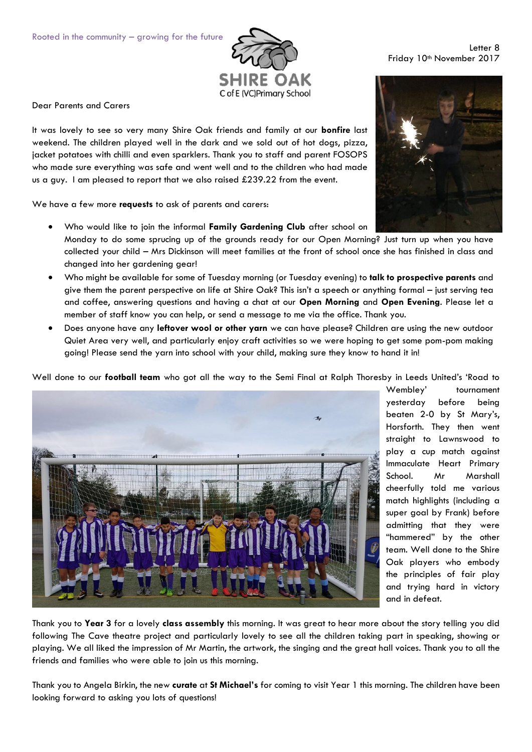

Dear Parents and Carers

It was lovely to see so very many Shire Oak friends and family at our **bonfire** last weekend. The children played well in the dark and we sold out of hot dogs, pizza, jacket potatoes with chilli and even sparklers. Thank you to staff and parent FOSOPS who made sure everything was safe and went well and to the children who had made us a guy. I am pleased to report that we also raised £239.22 from the event.

We have a few more **requests** to ask of parents and carers:

- Who would like to join the informal **Family Gardening Club** after school on Monday to do some sprucing up of the grounds ready for our Open Morning? Just turn up when you have collected your child – Mrs Dickinson will meet families at the front of school once she has finished in class and changed into her gardening gear!
- Who might be available for some of Tuesday morning (or Tuesday evening) to **talk to prospective parents** and give them the parent perspective on life at Shire Oak? This isn't a speech or anything formal – just serving tea and coffee, answering questions and having a chat at our **Open Morning** and **Open Evening**. Please let a member of staff know you can help, or send a message to me via the office. Thank you.
- Does anyone have any **leftover wool or other yarn** we can have please? Children are using the new outdoor Quiet Area very well, and particularly enjoy craft activities so we were hoping to get some pom-pom making going! Please send the yarn into school with your child, making sure they know to hand it in!

Well done to our **football team** who got all the way to the Semi Final at Ralph Thoresby in Leeds United's 'Road to



Wembley' tournament yesterday before being beaten 2-0 by St Mary's, Horsforth. They then went straight to Lawnswood to play a cup match against Immaculate Heart Primary School. Mr Marshall cheerfully told me various match highlights (including a super goal by Frank) before admitting that they were "hammered" by the other team. Well done to the Shire Oak players who embody the principles of fair play and trying hard in victory and in defeat.

Thank you to **Year 3** for a lovely **class assembly** this morning. It was great to hear more about the story telling you did following The Cave theatre project and particularly lovely to see all the children taking part in speaking, showing or playing. We all liked the impression of Mr Martin, the artwork, the singing and the great hall voices. Thank you to all the friends and families who were able to join us this morning.

Thank you to Angela Birkin, the new **curate** at **St Michael's** for coming to visit Year 1 this morning. The children have been looking forward to asking you lots of questions!

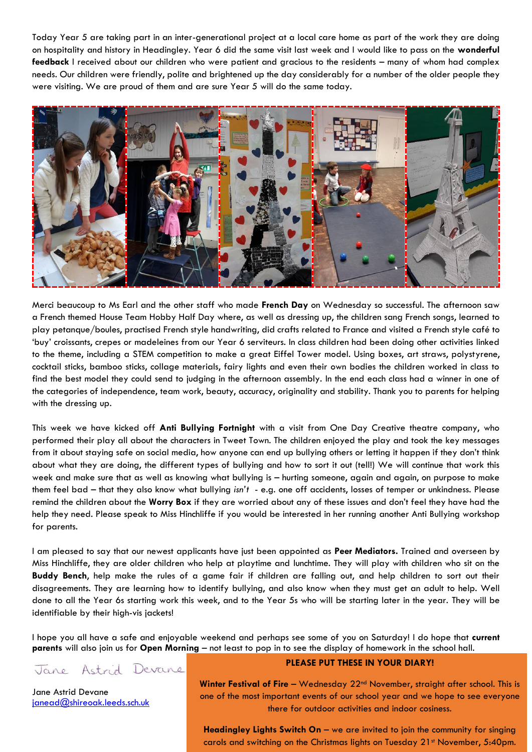Today Year 5 are taking part in an inter-generational project at a local care home as part of the work they are doing on hospitality and history in Headingley. Year 6 did the same visit last week and I would like to pass on the **wonderful feedback** I received about our children who were patient and gracious to the residents – many of whom had complex needs. Our children were friendly, polite and brightened up the day considerably for a number of the older people they were visiting. We are proud of them and are sure Year 5 will do the same today.



Merci beaucoup to Ms Earl and the other staff who made **French Day** on Wednesday so successful. The afternoon saw a French themed House Team Hobby Half Day where, as well as dressing up, the children sang French songs, learned to play petanque/boules, practised French style handwriting, did crafts related to France and visited a French style café to 'buy' croissants, crepes or madeleines from our Year 6 serviteurs. In class children had been doing other activities linked to the theme, including a STEM competition to make a great Eiffel Tower model. Using boxes, art straws, polystyrene, cocktail sticks, bamboo sticks, collage materials, fairy lights and even their own bodies the children worked in class to find the best model they could send to judging in the afternoon assembly. In the end each class had a winner in one of the categories of independence, team work, beauty, accuracy, originality and stability. Thank you to parents for helping with the dressing up.

This week we have kicked off **Anti Bullying Fortnight** with a visit from One Day Creative theatre company, who performed their play all about the characters in Tweet Town. The children enjoyed the play and took the key messages from it about staying safe on social media, how anyone can end up bullying others or letting it happen if they don't think about what they are doing, the different types of bullying and how to sort it out (tell!) We will continue that work this week and make sure that as well as knowing what bullying is – hurting someone, again and again, on purpose to make them feel bad – that they also know what bullying *isn't* - e.g. one off accidents, losses of temper or unkindness. Please remind the children about the **Worry Box** if they are worried about any of these issues and don't feel they have had the help they need. Please speak to Miss Hinchliffe if you would be interested in her running another Anti Bullying workshop for parents.

I am pleased to say that our newest applicants have just been appointed as **Peer Mediators.** Trained and overseen by Miss Hinchliffe, they are older children who help at playtime and lunchtime. They will play with children who sit on the **Buddy Bench**, help make the rules of a game fair if children are falling out, and help children to sort out their disagreements. They are learning how to identify bullying, and also know when they must get an adult to help. Well done to all the Year 6s starting work this week, and to the Year 5s who will be starting later in the year. They will be identifiable by their high-vis jackets!

I hope you all have a safe and enjoyable weekend and perhaps see some of you on Saturday! I do hope that **current parents** will also join us for **Open Morning** – not least to pop in to see the display of homework in the school hall.

Jane Astrid Devane

Jane Astrid Devane [janead@shireoak.leeds.sch.uk](mailto:janead@shireoak.leeds.sch.uk)

## **PLEASE PUT THESE IN YOUR DIARY!**

**Winter Festival of Fire** – Wednesday 22nd November, straight after school. This is one of the most important events of our school year and we hope to see everyone there for outdoor activities and indoor cosiness.

**Headingley Lights Switch On** – we are invited to join the community for singing carols and switching on the Christmas lights on Tuesday 21<sup>st</sup> November, 5:40pm.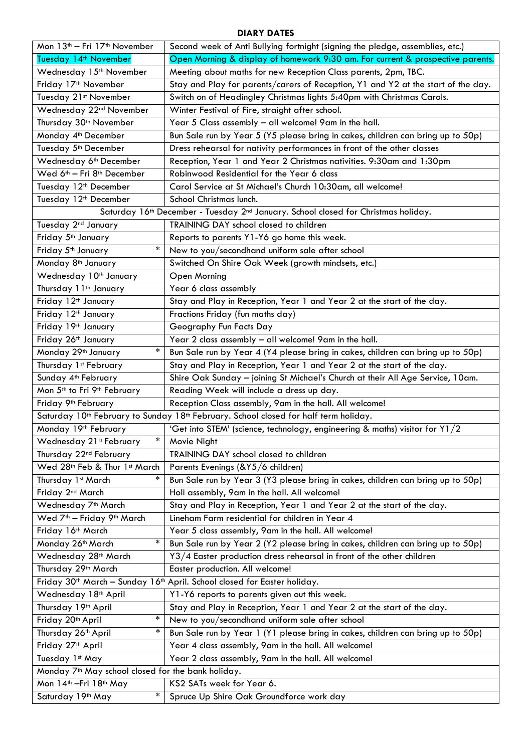## **DIARY DATES**

| Mon 13 <sup>th</sup> - Fri 17 <sup>th</sup> November                                                                                                                                  | Second week of Anti Bullying fortnight (signing the pledge, assemblies, etc.)     |
|---------------------------------------------------------------------------------------------------------------------------------------------------------------------------------------|-----------------------------------------------------------------------------------|
| Tuesday 14 <sup>th</sup> November                                                                                                                                                     | Open Morning & display of homework 9:30 am. For current & prospective parents.    |
| Wednesday 15 <sup>th</sup> November                                                                                                                                                   | Meeting about maths for new Reception Class parents, 2pm, TBC.                    |
| Friday 17 <sup>th</sup> November                                                                                                                                                      | Stay and Play for parents/carers of Reception, Y1 and Y2 at the start of the day. |
| Tuesday 21st November                                                                                                                                                                 | Switch on of Headingley Christmas lights 5:40pm with Christmas Carols.            |
| Wednesday 22 <sup>nd</sup> November                                                                                                                                                   | Winter Festival of Fire, straight after school.                                   |
| Thursday 30 <sup>th</sup> November                                                                                                                                                    | Year 5 Class assembly - all welcome! 9am in the hall.                             |
| Monday 4 <sup>th</sup> December                                                                                                                                                       | Bun Sale run by Year 5 (Y5 please bring in cakes, children can bring up to 50p)   |
| Tuesday 5 <sup>th</sup> December                                                                                                                                                      | Dress rehearsal for nativity performances in front of the other classes           |
| Wednesday 6 <sup>th</sup> December                                                                                                                                                    | Reception, Year 1 and Year 2 Christmas nativities. 9:30am and 1:30pm              |
| Wed 6 <sup>th</sup> - Fri 8 <sup>th</sup> December                                                                                                                                    | Robinwood Residential for the Year 6 class                                        |
| Tuesday 12 <sup>th</sup> December                                                                                                                                                     | Carol Service at St Michael's Church 10:30am, all welcome!                        |
| Tuesday 12 <sup>th</sup> December                                                                                                                                                     | School Christmas lunch.                                                           |
| Saturday 16th December - Tuesday 2nd January. School closed for Christmas holiday.                                                                                                    |                                                                                   |
| Tuesday 2 <sup>nd</sup> January                                                                                                                                                       | TRAINING DAY school closed to children                                            |
| Friday 5 <sup>th</sup> January                                                                                                                                                        | Reports to parents Y1-Y6 go home this week.                                       |
| $\ast$<br>Friday 5 <sup>th</sup> January                                                                                                                                              | New to you/secondhand uniform sale after school                                   |
| Monday 8 <sup>th</sup> January                                                                                                                                                        | Switched On Shire Oak Week (growth mindsets, etc.)                                |
| Wednesday 10th January                                                                                                                                                                | Open Morning                                                                      |
| Thursday 11 <sup>th</sup> January                                                                                                                                                     | Year 6 class assembly                                                             |
| Friday 12 <sup>th</sup> January                                                                                                                                                       | Stay and Play in Reception, Year 1 and Year 2 at the start of the day.            |
| Friday 12 <sup>th</sup> January                                                                                                                                                       | Fractions Friday (fun maths day)                                                  |
| Friday 19th January                                                                                                                                                                   | Geography Fun Facts Day                                                           |
| Friday 26th January                                                                                                                                                                   | Year 2 class assembly - all welcome! 9am in the hall.                             |
| $\ast$<br>Monday 29 <sup>th</sup> January                                                                                                                                             | Bun Sale run by Year 4 (Y4 please bring in cakes, children can bring up to 50p)   |
| Thursday 1st February                                                                                                                                                                 | Stay and Play in Reception, Year 1 and Year 2 at the start of the day.            |
| Sunday 4 <sup>th</sup> February                                                                                                                                                       | Shire Oak Sunday - joining St Michael's Church at their All Age Service, 10am.    |
| Mon 5 <sup>th</sup> to Fri 9 <sup>th</sup> February                                                                                                                                   | Reading Week will include a dress up day.                                         |
| Friday 9 <sup>th</sup> February                                                                                                                                                       | Reception Class assembly, 9am in the hall. All welcome!                           |
| Saturday 10 <sup>th</sup> February to Sunday 18 <sup>th</sup> February. School closed for half term holiday.                                                                          |                                                                                   |
| Monday 19th February                                                                                                                                                                  | 'Get into STEM' (science, technology, engineering & maths) visitor for Y1/2       |
| Wednesday 21st February<br>$\ast$                                                                                                                                                     | Movie Night                                                                       |
| Thursday 22 <sup>nd</sup> February                                                                                                                                                    | TRAINING DAY school closed to children                                            |
| Wed 28th Feb & Thur 1st March                                                                                                                                                         | Parents Evenings (&Y5/6 children)                                                 |
| $\ast$<br>Thursday 1st March                                                                                                                                                          | Bun Sale run by Year 3 (Y3 please bring in cakes, children can bring up to 50p)   |
| Friday 2 <sup>nd</sup> March                                                                                                                                                          | Holi assembly, 9am in the hall. All welcome!                                      |
| Wednesday 7 <sup>th</sup> March                                                                                                                                                       | Stay and Play in Reception, Year 1 and Year 2 at the start of the day.            |
| Wed 7 <sup>th</sup> - Friday 9 <sup>th</sup> March                                                                                                                                    | Lineham Farm residential for children in Year 4                                   |
| Friday 16th March                                                                                                                                                                     | Year 5 class assembly, 9am in the hall. All welcome!                              |
| $\ast$<br>Monday 26th March                                                                                                                                                           | Bun Sale run by Year 2 (Y2 please bring in cakes, children can bring up to 50p)   |
| Wednesday 28 <sup>th</sup> March                                                                                                                                                      | Y3/4 Easter production dress rehearsal in front of the other children             |
| Thursday 29 <sup>th</sup> March                                                                                                                                                       | Easter production. All welcome!                                                   |
|                                                                                                                                                                                       |                                                                                   |
| Friday 30 <sup>th</sup> March - Sunday 16 <sup>th</sup> April. School closed for Easter holiday.<br>Wednesday 18 <sup>th</sup> April<br>Y1-Y6 reports to parents given out this week. |                                                                                   |
| Thursday 19 <sup>th</sup> April                                                                                                                                                       | Stay and Play in Reception, Year 1 and Year 2 at the start of the day.            |
| *<br>Friday 20 <sup>th</sup> April                                                                                                                                                    | New to you/secondhand uniform sale after school                                   |
| $\ast$<br>Thursday 26 <sup>th</sup> April                                                                                                                                             | Bun Sale run by Year 1 (Y1 please bring in cakes, children can bring up to 50p)   |
| Friday 27 <sup>th</sup> April                                                                                                                                                         | Year 4 class assembly, 9am in the hall. All welcome!                              |
| Tuesday 1st May                                                                                                                                                                       |                                                                                   |
| Year 2 class assembly, 9am in the hall. All welcome!                                                                                                                                  |                                                                                   |
| Monday 7 <sup>th</sup> May school closed for the bank holiday.                                                                                                                        |                                                                                   |
| Mon 14 <sup>th</sup> - Fri 18 <sup>th</sup> May<br>$\ast$                                                                                                                             | KS2 SATs week for Year 6.                                                         |
| Saturday 19th May                                                                                                                                                                     | Spruce Up Shire Oak Groundforce work day                                          |